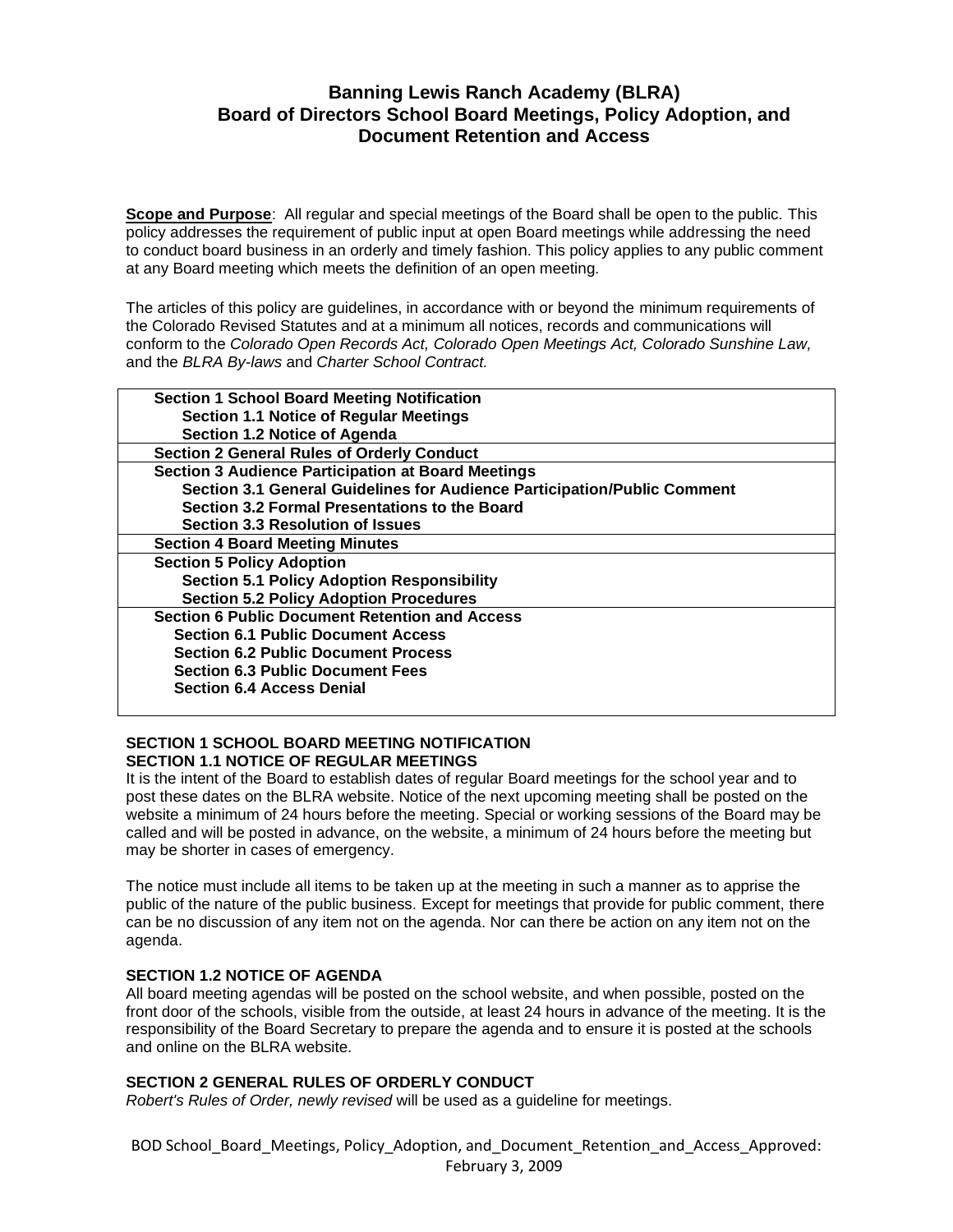# **Banning Lewis Ranch Academy (BLRA) Board of Directors School Board Meetings, Policy Adoption, and Document Retention and Access**

**Scope and Purpose**: All regular and special meetings of the Board shall be open to the public. This policy addresses the requirement of public input at open Board meetings while addressing the need to conduct board business in an orderly and timely fashion. This policy applies to any public comment at any Board meeting which meets the definition of an open meeting.

The articles of this policy are guidelines, in accordance with or beyond the minimum requirements of the Colorado Revised Statutes and at a minimum all notices, records and communications will conform to the *Colorado Open Records Act, Colorado Open Meetings Act, Colorado Sunshine Law,*  and the *BLRA By-laws* and *Charter School Contract.*

| <b>Section 1 School Board Meeting Notification</b>                       |  |
|--------------------------------------------------------------------------|--|
| <b>Section 1.1 Notice of Regular Meetings</b>                            |  |
| Section 1.2 Notice of Agenda                                             |  |
| <b>Section 2 General Rules of Orderly Conduct</b>                        |  |
| <b>Section 3 Audience Participation at Board Meetings</b>                |  |
| Section 3.1 General Guidelines for Audience Participation/Public Comment |  |
| Section 3.2 Formal Presentations to the Board                            |  |
| <b>Section 3.3 Resolution of Issues</b>                                  |  |
| <b>Section 4 Board Meeting Minutes</b>                                   |  |
| <b>Section 5 Policy Adoption</b>                                         |  |
| <b>Section 5.1 Policy Adoption Responsibility</b>                        |  |
| <b>Section 5.2 Policy Adoption Procedures</b>                            |  |
| <b>Section 6 Public Document Retention and Access</b>                    |  |
| <b>Section 6.1 Public Document Access</b>                                |  |
| <b>Section 6.2 Public Document Process</b>                               |  |
| <b>Section 6.3 Public Document Fees</b>                                  |  |
| <b>Section 6.4 Access Denial</b>                                         |  |
|                                                                          |  |

# **SECTION 1 SCHOOL BOARD MEETING NOTIFICATION SECTION 1.1 NOTICE OF REGULAR MEETINGS**

It is the intent of the Board to establish dates of regular Board meetings for the school year and to post these dates on the BLRA website. Notice of the next upcoming meeting shall be posted on the website a minimum of 24 hours before the meeting. Special or working sessions of the Board may be called and will be posted in advance, on the website, a minimum of 24 hours before the meeting but may be shorter in cases of emergency.

The notice must include all items to be taken up at the meeting in such a manner as to apprise the public of the nature of the public business. Except for meetings that provide for public comment, there can be no discussion of any item not on the agenda. Nor can there be action on any item not on the agenda.

# **SECTION 1.2 NOTICE OF AGENDA**

All board meeting agendas will be posted on the school website, and when possible, posted on the front door of the schools, visible from the outside, at least 24 hours in advance of the meeting. It is the responsibility of the Board Secretary to prepare the agenda and to ensure it is posted at the schools and online on the BLRA website.

# **SECTION 2 GENERAL RULES OF ORDERLY CONDUCT**

*Robert's Rules of Order, newly revised* will be used as a guideline for meetings.

BOD School\_Board\_Meetings, Policy\_Adoption, and\_Document\_Retention\_and\_Access\_Approved: February 3, 2009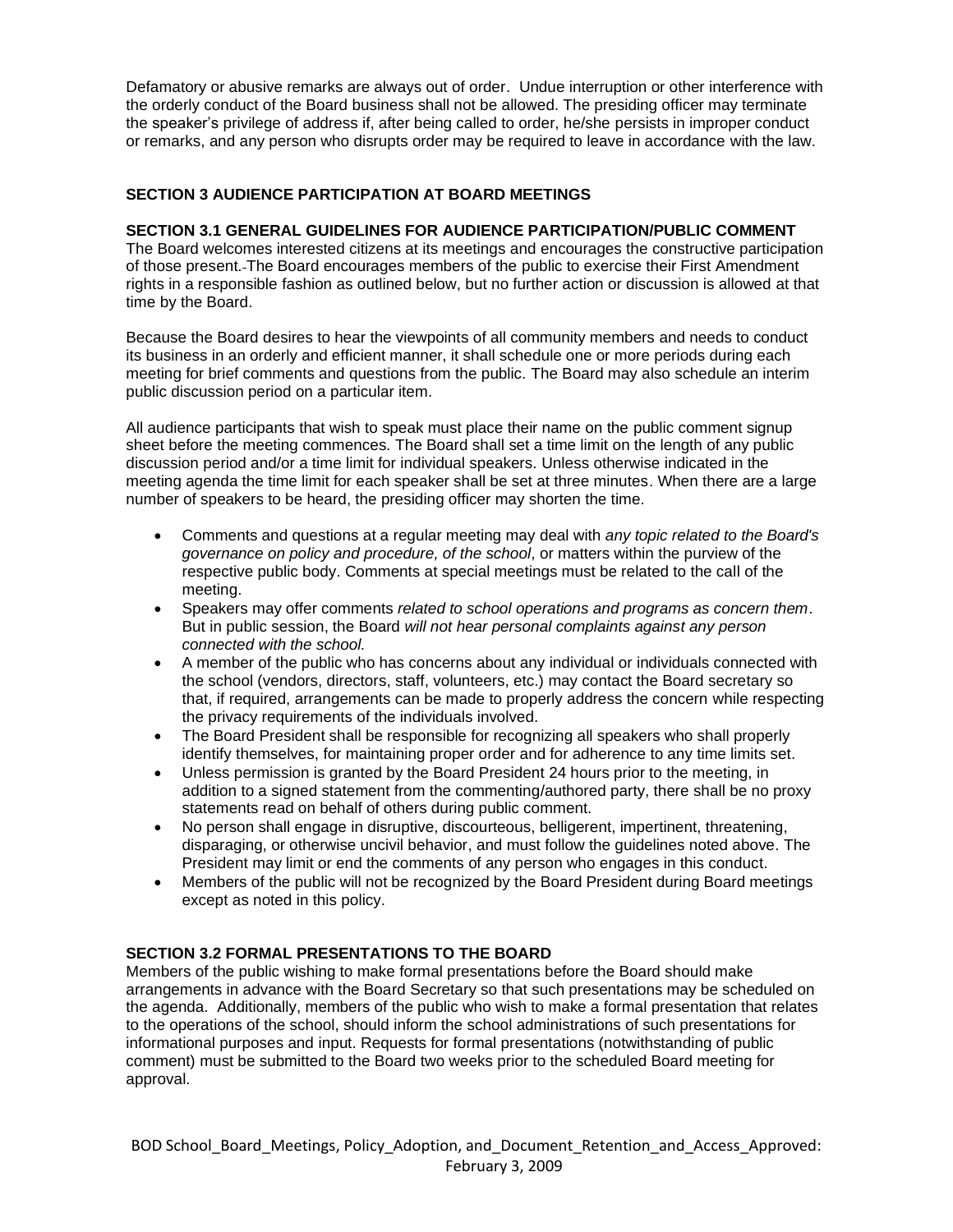Defamatory or abusive remarks are always out of order. Undue interruption or other interference with the orderly conduct of the Board business shall not be allowed. The presiding officer may terminate the speaker's privilege of address if, after being called to order, he/she persists in improper conduct or remarks, and any person who disrupts order may be required to leave in accordance with the law.

# **SECTION 3 AUDIENCE PARTICIPATION AT BOARD MEETINGS**

#### **SECTION 3.1 GENERAL GUIDELINES FOR AUDIENCE PARTICIPATION/PUBLIC COMMENT**

The Board welcomes interested citizens at its meetings and encourages the constructive participation of those present. The Board encourages members of the public to exercise their First Amendment rights in a responsible fashion as outlined below, but no further action or discussion is allowed at that time by the Board.

Because the Board desires to hear the viewpoints of all community members and needs to conduct its business in an orderly and efficient manner, it shall schedule one or more periods during each meeting for brief comments and questions from the public. The Board may also schedule an interim public discussion period on a particular item.

All audience participants that wish to speak must place their name on the public comment signup sheet before the meeting commences. The Board shall set a time limit on the length of any public discussion period and/or a time limit for individual speakers. Unless otherwise indicated in the meeting agenda the time limit for each speaker shall be set at three minutes. When there are a large number of speakers to be heard, the presiding officer may shorten the time.

- Comments and questions at a regular meeting may deal with *any topic related to the Board's governance on policy and procedure, of the school*, or matters within the purview of the respective public body. Comments at special meetings must be related to the call of the meeting.
- Speakers may offer comments *related to school operations and programs as concern them*. But in public session, the Board *will not hear personal complaints against any person connected with the school.*
- A member of the public who has concerns about any individual or individuals connected with the school (vendors, directors, staff, volunteers, etc.) may contact the Board secretary so that, if required, arrangements can be made to properly address the concern while respecting the privacy requirements of the individuals involved.
- The Board President shall be responsible for recognizing all speakers who shall properly identify themselves, for maintaining proper order and for adherence to any time limits set.
- Unless permission is granted by the Board President 24 hours prior to the meeting, in addition to a signed statement from the commenting/authored party, there shall be no proxy statements read on behalf of others during public comment.
- No person shall engage in disruptive, discourteous, belligerent, impertinent, threatening, disparaging, or otherwise uncivil behavior, and must follow the guidelines noted above. The President may limit or end the comments of any person who engages in this conduct.
- Members of the public will not be recognized by the Board President during Board meetings except as noted in this policy.

# **SECTION 3.2 FORMAL PRESENTATIONS TO THE BOARD**

Members of the public wishing to make formal presentations before the Board should make arrangements in advance with the Board Secretary so that such presentations may be scheduled on the agenda. Additionally, members of the public who wish to make a formal presentation that relates to the operations of the school, should inform the school administrations of such presentations for informational purposes and input. Requests for formal presentations (notwithstanding of public comment) must be submitted to the Board two weeks prior to the scheduled Board meeting for approval.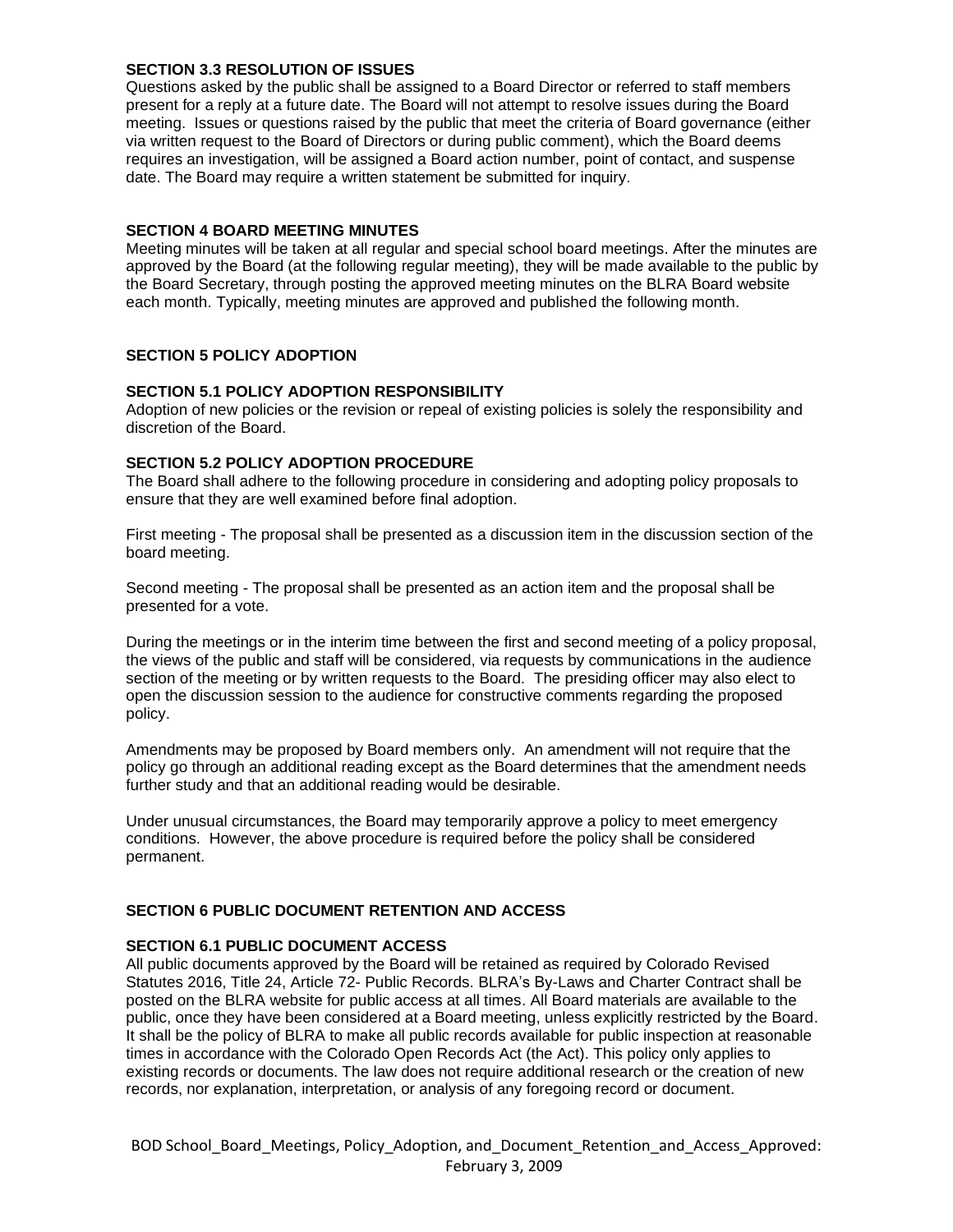#### **SECTION 3.3 RESOLUTION OF ISSUES**

Questions asked by the public shall be assigned to a Board Director or referred to staff members present for a reply at a future date. The Board will not attempt to resolve issues during the Board meeting. Issues or questions raised by the public that meet the criteria of Board governance (either via written request to the Board of Directors or during public comment), which the Board deems requires an investigation, will be assigned a Board action number, point of contact, and suspense date. The Board may require a written statement be submitted for inquiry.

#### **SECTION 4 BOARD MEETING MINUTES**

Meeting minutes will be taken at all regular and special school board meetings. After the minutes are approved by the Board (at the following regular meeting), they will be made available to the public by the Board Secretary, through posting the approved meeting minutes on the BLRA Board website each month. Typically, meeting minutes are approved and published the following month.

# **SECTION 5 POLICY ADOPTION**

#### **SECTION 5.1 POLICY ADOPTION RESPONSIBILITY**

Adoption of new policies or the revision or repeal of existing policies is solely the responsibility and discretion of the Board.

#### **SECTION 5.2 POLICY ADOPTION PROCEDURE**

The Board shall adhere to the following procedure in considering and adopting policy proposals to ensure that they are well examined before final adoption.

First meeting - The proposal shall be presented as a discussion item in the discussion section of the board meeting.

Second meeting - The proposal shall be presented as an action item and the proposal shall be presented for a vote.

During the meetings or in the interim time between the first and second meeting of a policy proposal, the views of the public and staff will be considered, via requests by communications in the audience section of the meeting or by written requests to the Board. The presiding officer may also elect to open the discussion session to the audience for constructive comments regarding the proposed policy.

Amendments may be proposed by Board members only. An amendment will not require that the policy go through an additional reading except as the Board determines that the amendment needs further study and that an additional reading would be desirable.

Under unusual circumstances, the Board may temporarily approve a policy to meet emergency conditions. However, the above procedure is required before the policy shall be considered permanent.

# **SECTION 6 PUBLIC DOCUMENT RETENTION AND ACCESS**

#### **SECTION 6.1 PUBLIC DOCUMENT ACCESS**

All public documents approved by the Board will be retained as required by Colorado Revised Statutes 2016, Title 24, Article 72- Public Records. BLRA's By-Laws and Charter Contract shall be posted on the BLRA website for public access at all times. All Board materials are available to the public, once they have been considered at a Board meeting, unless explicitly restricted by the Board. It shall be the policy of BLRA to make all public records available for public inspection at reasonable times in accordance with the Colorado Open Records Act (the Act). This policy only applies to existing records or documents. The law does not require additional research or the creation of new records, nor explanation, interpretation, or analysis of any foregoing record or document.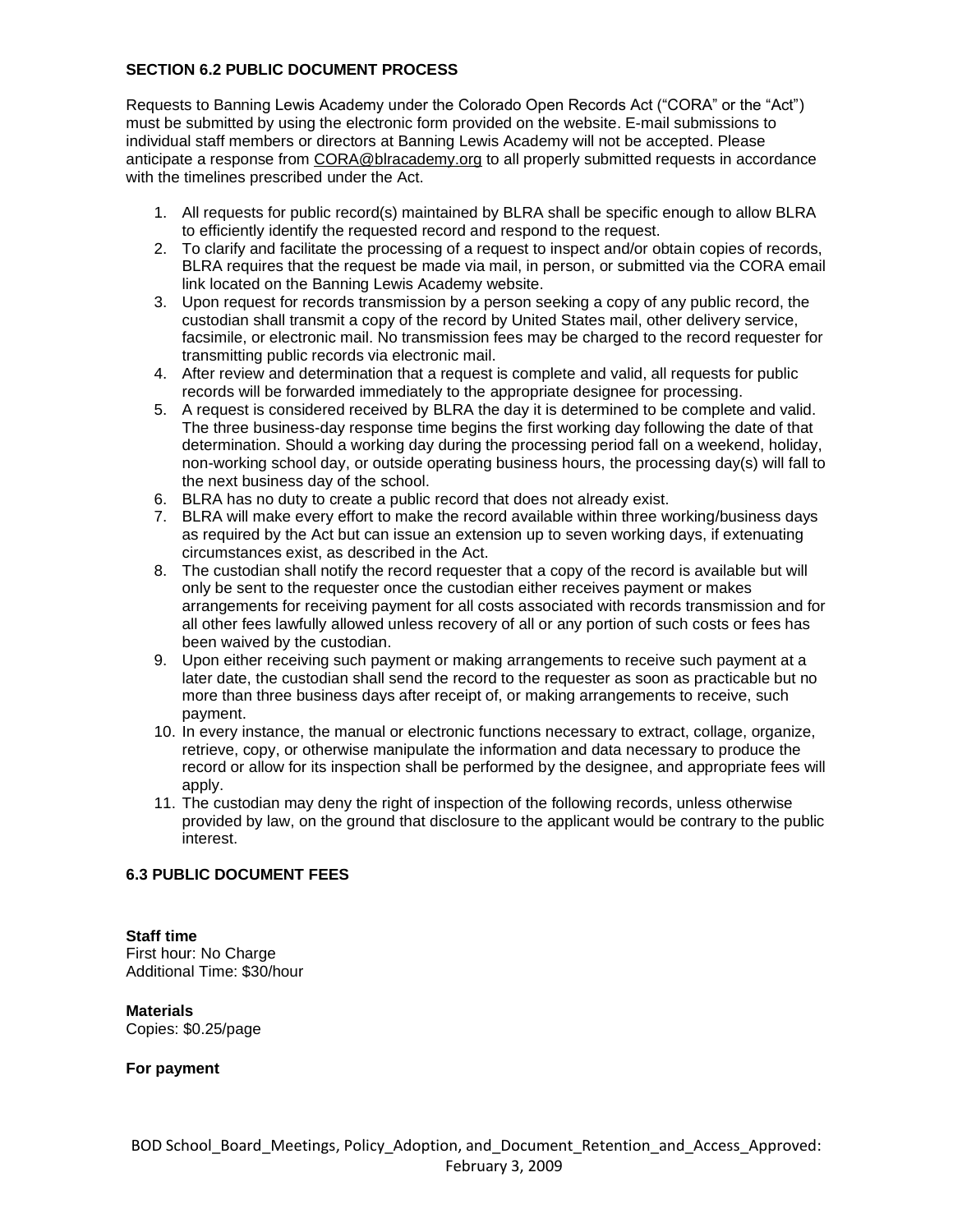# **SECTION 6.2 PUBLIC DOCUMENT PROCESS**

Requests to Banning Lewis Academy under the Colorado Open Records Act ("CORA" or the "Act") must be submitted by using the electronic form provided on the website. E-mail submissions to individual staff members or directors at Banning Lewis Academy will not be accepted. Please anticipate a response from [CORA@blracademy.org](mailto:CORA@blracademy.org) to all properly submitted requests in accordance with the timelines prescribed under the Act.

- 1. All requests for public record(s) maintained by BLRA shall be specific enough to allow BLRA to efficiently identify the requested record and respond to the request.
- 2. To clarify and facilitate the processing of a request to inspect and/or obtain copies of records, BLRA requires that the request be made via mail, in person, or submitted via the CORA email link located on the Banning Lewis Academy website.
- 3. Upon request for records transmission by a person seeking a copy of any public record, the custodian shall transmit a copy of the record by United States mail, other delivery service, facsimile, or electronic mail. No transmission fees may be charged to the record requester for transmitting public records via electronic mail.
- 4. After review and determination that a request is complete and valid, all requests for public records will be forwarded immediately to the appropriate designee for processing.
- 5. A request is considered received by BLRA the day it is determined to be complete and valid. The three business-day response time begins the first working day following the date of that determination. Should a working day during the processing period fall on a weekend, holiday, non-working school day, or outside operating business hours, the processing day(s) will fall to the next business day of the school.
- 6. BLRA has no duty to create a public record that does not already exist.
- 7. BLRA will make every effort to make the record available within three working/business days as required by the Act but can issue an extension up to seven working days, if extenuating circumstances exist, as described in the Act.
- 8. The custodian shall notify the record requester that a copy of the record is available but will only be sent to the requester once the custodian either receives payment or makes arrangements for receiving payment for all costs associated with records transmission and for all other fees lawfully allowed unless recovery of all or any portion of such costs or fees has been waived by the custodian.
- 9. Upon either receiving such payment or making arrangements to receive such payment at a later date, the custodian shall send the record to the requester as soon as practicable but no more than three business days after receipt of, or making arrangements to receive, such payment.
- 10. In every instance, the manual or electronic functions necessary to extract, collage, organize, retrieve, copy, or otherwise manipulate the information and data necessary to produce the record or allow for its inspection shall be performed by the designee, and appropriate fees will apply.
- 11. The custodian may deny the right of inspection of the following records, unless otherwise provided by law, on the ground that disclosure to the applicant would be contrary to the public interest.

# **6.3 PUBLIC DOCUMENT FEES**

# **Staff time**

First hour: No Charge Additional Time: \$30/hour

# **Materials**

Copies: \$0.25/page

# **For payment**